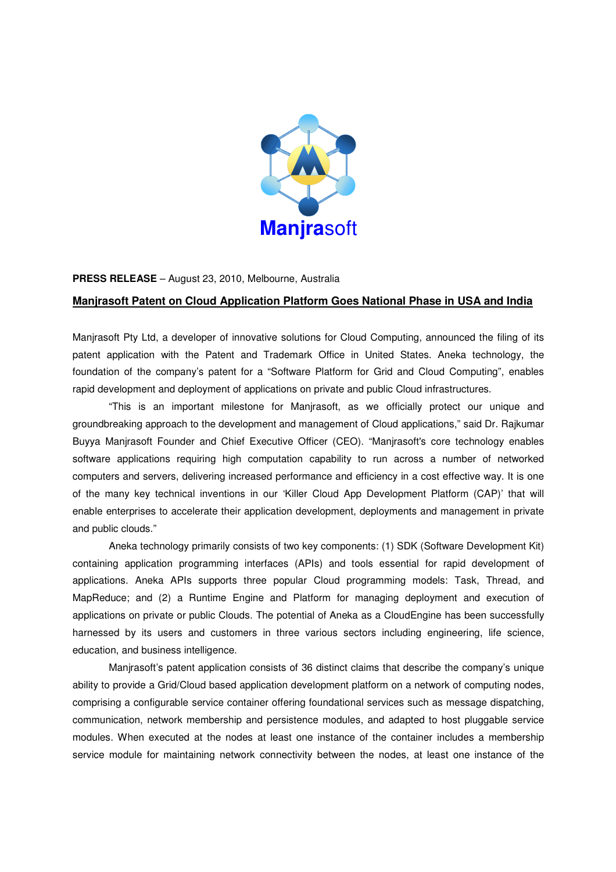

## **PRESS RELEASE** – August 23, 2010, Melbourne, Australia

## **Manjrasoft Patent on Cloud Application Platform Goes National Phase in USA and India**

Manjrasoft Pty Ltd, a developer of innovative solutions for Cloud Computing, announced the filing of its patent application with the Patent and Trademark Office in United States. Aneka technology, the foundation of the company's patent for a "Software Platform for Grid and Cloud Computing", enables rapid development and deployment of applications on private and public Cloud infrastructures.

"This is an important milestone for Manjrasoft, as we officially protect our unique and groundbreaking approach to the development and management of Cloud applications," said Dr. Rajkumar Buyya Manjrasoft Founder and Chief Executive Officer (CEO). "Manjrasoft's core technology enables software applications requiring high computation capability to run across a number of networked computers and servers, delivering increased performance and efficiency in a cost effective way. It is one of the many key technical inventions in our 'Killer Cloud App Development Platform (CAP)' that will enable enterprises to accelerate their application development, deployments and management in private and public clouds."

Aneka technology primarily consists of two key components: (1) SDK (Software Development Kit) containing application programming interfaces (APIs) and tools essential for rapid development of applications. Aneka APIs supports three popular Cloud programming models: Task, Thread, and MapReduce; and (2) a Runtime Engine and Platform for managing deployment and execution of applications on private or public Clouds. The potential of Aneka as a CloudEngine has been successfully harnessed by its users and customers in three various sectors including engineering, life science, education, and business intelligence.

Manjrasoft's patent application consists of 36 distinct claims that describe the company's unique ability to provide a Grid/Cloud based application development platform on a network of computing nodes, comprising a configurable service container offering foundational services such as message dispatching, communication, network membership and persistence modules, and adapted to host pluggable service modules. When executed at the nodes at least one instance of the container includes a membership service module for maintaining network connectivity between the nodes, at least one instance of the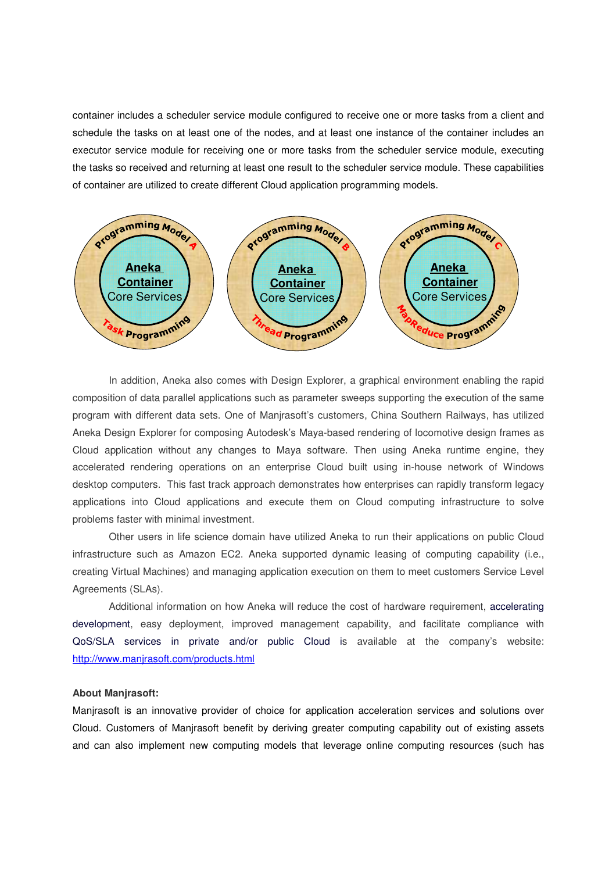container includes a scheduler service module configured to receive one or more tasks from a client and schedule the tasks on at least one of the nodes, and at least one instance of the container includes an executor service module for receiving one or more tasks from the scheduler service module, executing the tasks so received and returning at least one result to the scheduler service module. These capabilities of container are utilized to create different Cloud application programming models.



In addition, Aneka also comes with Design Explorer, a graphical environment enabling the rapid composition of data parallel applications such as parameter sweeps supporting the execution of the same program with different data sets. One of Manjrasoft's customers, China Southern Railways, has utilized Aneka Design Explorer for composing Autodesk's Maya-based rendering of locomotive design frames as Cloud application without any changes to Maya software. Then using Aneka runtime engine, they accelerated rendering operations on an enterprise Cloud built using in-house network of Windows desktop computers. This fast track approach demonstrates how enterprises can rapidly transform legacy applications into Cloud applications and execute them on Cloud computing infrastructure to solve problems faster with minimal investment.

Other users in life science domain have utilized Aneka to run their applications on public Cloud infrastructure such as Amazon EC2. Aneka supported dynamic leasing of computing capability (i.e., creating Virtual Machines) and managing application execution on them to meet customers Service Level Agreements (SLAs).

Additional information on how Aneka will reduce the cost of hardware requirement, accelerating development, easy deployment, improved management capability, and facilitate compliance with QoS/SLA services in private and/or public Cloud is available at the company's website: http://www.manjrasoft.com/products.html

## **About Manjrasoft:**

Manjrasoft is an innovative provider of choice for application acceleration services and solutions over Cloud. Customers of Manjrasoft benefit by deriving greater computing capability out of existing assets and can also implement new computing models that leverage online computing resources (such has